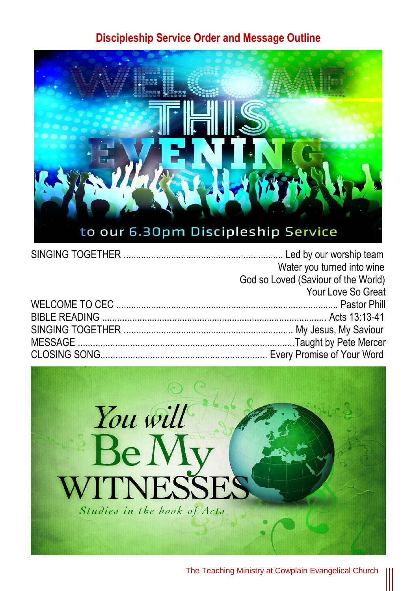## **Discipleship Service Order and Message Outline**



| Water you turned into wine          |
|-------------------------------------|
| God so Loved (Saviour of the World) |
| Your Love So Great                  |
|                                     |
|                                     |
|                                     |
|                                     |
|                                     |



The Teaching Ministry at Cowplain Evangelical Church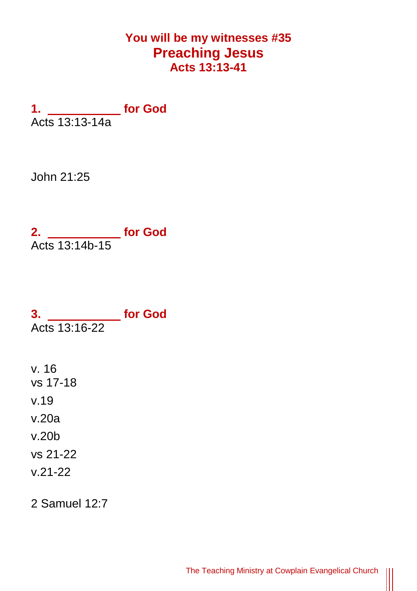## **You will be my witnesses #35 Preaching Jesus Acts 13:13-41**

**1. for God** Acts 13:13-14a

John 21:25

**2. for God** Acts 13:14b-15

**3. for God** Acts 13:16-22

v. 16 vs 17-18 v.19 v.20a v.20b vs 21-22 v.21-22

2 Samuel 12:7

Ш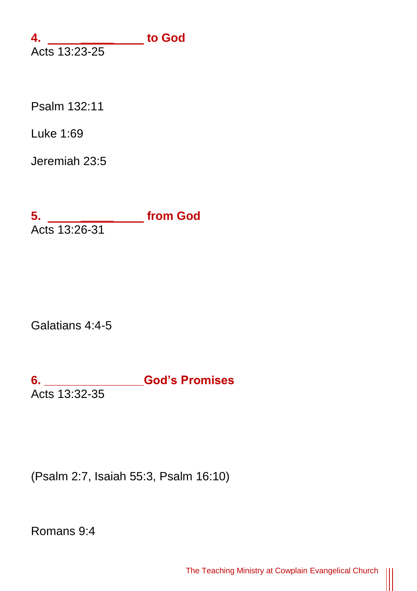**4. \_\_\_\_\_ to God** Acts 13:23-25

[Psalm 132:11](https://www.biblegateway.com/passage/?search=Ps.132.11)

[Luke 1:69](https://www.biblegateway.com/passage/?search=Luke.1.69)

[Jeremiah 23:5](https://www.biblegateway.com/passage/?search=Jer.23.5)

**5. \_\_\_\_\_ from God** Acts 13:26-31

Galatians 4:4-5

**6. \_\_\_\_\_\_\_\_\_\_\_\_\_\_\_God's Promises** Acts 13:32-35

(Psalm 2:7, Isaiah 55:3, Psalm 16:10)

Romans 9:4